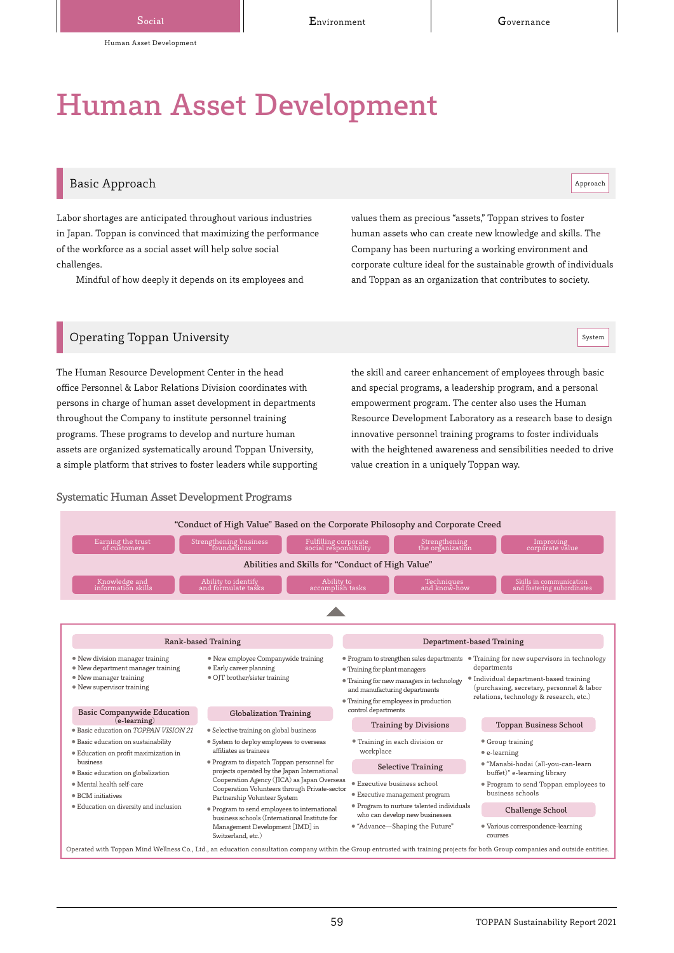# Human Asset Development

# Basic Approach and the set of the set of the set of the set of the set of the set of the set of the set of the set of the set of the set of the set of the set of the set of the set of the set of the set of the set of the s

Labor shortages are anticipated throughout various industries in Japan. Toppan is convinced that maximizing the performance of the workforce as a social asset will help solve social challenges.

Mindful of how deeply it depends on its employees and

values them as precious "assets," Toppan strives to foster human assets who can create new knowledge and skills. The Company has been nurturing a working environment and corporate culture ideal for the sustainable growth of individuals and Toppan as an organization that contributes to society.

# $\mathsf{Operating}\:$  Toppan University  $\lvert\:\mathsf{System}\:\rvert$

The Human Resource Development Center in the head office Personnel & Labor Relations Division coordinates with persons in charge of human asset development in departments throughout the Company to institute personnel training programs. These programs to develop and nurture human assets are organized systematically around Toppan University, a simple platform that strives to foster leaders while supporting

Systematic Human Asset Development Programs

the skill and career enhancement of employees through basic and special programs, a leadership program, and a personal empowerment program. The center also uses the Human Resource Development Laboratory as a research base to design innovative personnel training programs to foster individuals with the heightened awareness and sensibilities needed to drive value creation in a uniquely Toppan way.

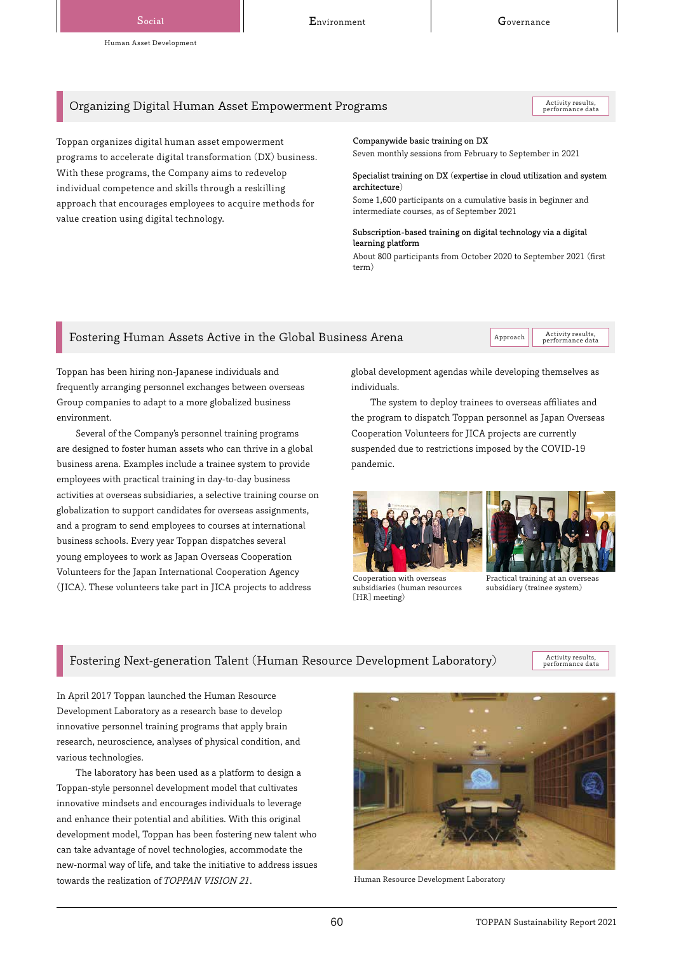# Organizing Digital Human Asset Empowerment Programs

Activity results,<br>performance data

Toppan organizes digital human asset empowerment programs to accelerate digital transformation (DX) business. With these programs, the Company aims to redevelop individual competence and skills through a reskilling approach that encourages employees to acquire methods for value creation using digital technology.

#### Companywide basic training on DX

Seven monthly sessions from February to September in 2021

#### Specialist training on DX (expertise in cloud utilization and system architecture)

Some 1,600 participants on a cumulative basis in beginner and intermediate courses, as of September 2021

#### Subscription-based training on digital technology via a digital learning platform

About 800 participants from October 2020 to September 2021 (first term)

# Fostering Human Assets Active in the Global Business Arena  $\vert$  Approach  $\vert$  Activity results

performance data

Toppan has been hiring non-Japanese individuals and frequently arranging personnel exchanges between overseas Group companies to adapt to a more globalized business environment.

Several of the Company's personnel training programs are designed to foster human assets who can thrive in a global business arena. Examples include a trainee system to provide employees with practical training in day-to-day business activities at overseas subsidiaries, a selective training course on globalization to support candidates for overseas assignments, and a program to send employees to courses at international business schools. Every year Toppan dispatches several young employees to work as Japan Overseas Cooperation Volunteers for the Japan International Cooperation Agency (JICA). These volunteers take part in JICA projects to address

global development agendas while developing themselves as individuals.

The system to deploy trainees to overseas affiliates and the program to dispatch Toppan personnel as Japan Overseas Cooperation Volunteers for JICA projects are currently suspended due to restrictions imposed by the COVID-19 pandemic.





Cooperation with overseas subsidiaries (human resources [HR] meeting)

Practical training at an overseas subsidiary (trainee system)

# Fostering Next-generation Talent (Human Resource Development Laboratory)

Activity results,<br>performance data

In April 2017 Toppan launched the Human Resource Development Laboratory as a research base to develop innovative personnel training programs that apply brain research, neuroscience, analyses of physical condition, and various technologies.

The laboratory has been used as a platform to design a Toppan-style personnel development model that cultivates innovative mindsets and encourages individuals to leverage and enhance their potential and abilities. With this original development model, Toppan has been fostering new talent who can take advantage of novel technologies, accommodate the new-normal way of life, and take the initiative to address issues towards the realization of TOPPAN VISION 21. Human Resource Development Laboratory

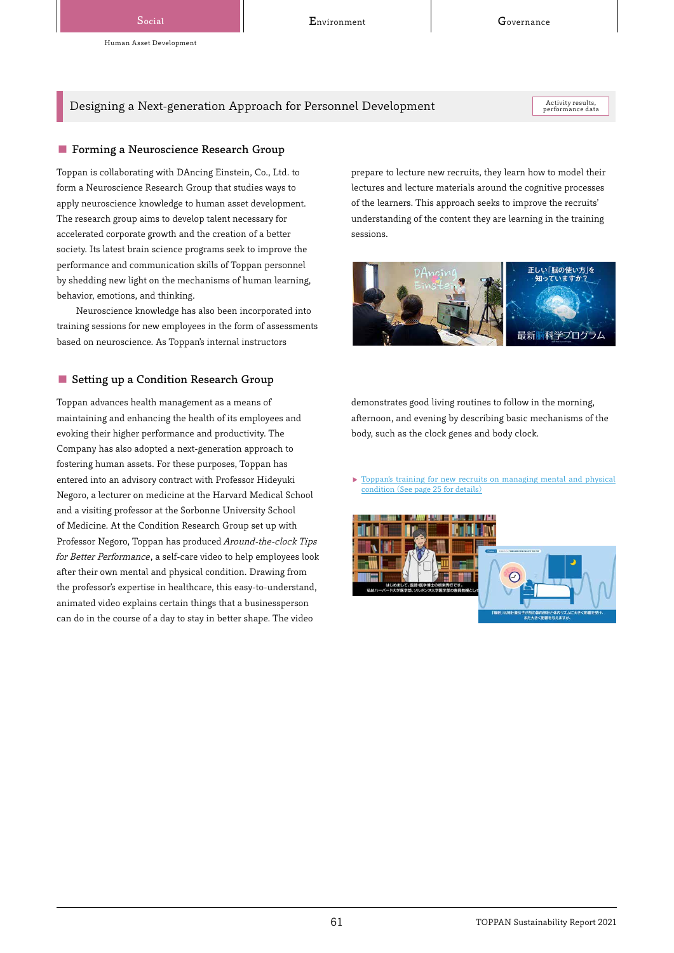Social Covernance Covernance Environment Covernance Governance

Human Asset Development

Designing a Next-generation Approach for Personnel Development

Activity results,<br>performance data

## ■ Forming a Neuroscience Research Group

Toppan is collaborating with DAncing Einstein, Co., Ltd. to form a Neuroscience Research Group that studies ways to apply neuroscience knowledge to human asset development. The research group aims to develop talent necessary for accelerated corporate growth and the creation of a better society. Its latest brain science programs seek to improve the performance and communication skills of Toppan personnel by shedding new light on the mechanisms of human learning, behavior, emotions, and thinking.

Neuroscience knowledge has also been incorporated into training sessions for new employees in the form of assessments based on neuroscience. As Toppan's internal instructors

## ■ Setting up a Condition Research Group

Toppan advances health management as a means of maintaining and enhancing the health of its employees and evoking their higher performance and productivity. The Company has also adopted a next-generation approach to fostering human assets. For these purposes, Toppan has entered into an advisory contract with Professor Hideyuki Negoro, a lecturer on medicine at the Harvard Medical School and a visiting professor at the Sorbonne University School of Medicine. At the Condition Research Group set up with Professor Negoro, Toppan has produced Around-the-clock Tips for Better Performance, a self-care video to help employees look after their own mental and physical condition. Drawing from the professor's expertise in healthcare, this easy-to-understand, animated video explains certain things that a businessperson can do in the course of a day to stay in better shape. The video

prepare to lecture new recruits, they learn how to model their lectures and lecture materials around the cognitive processes of the learners. This approach seeks to improve the recruits' understanding of the content they are learning in the training sessions.



demonstrates good living routines to follow in the morning, afternoon, and evening by describing basic mechanisms of the body, such as the clock genes and body clock.

 [Toppan's training for new recruits on managing mental and physical](https://toppan.com/assets/pdf/sustainability/2021/csr2021_detail-ja.pdf#page=25)  condition (See page 25 for details)

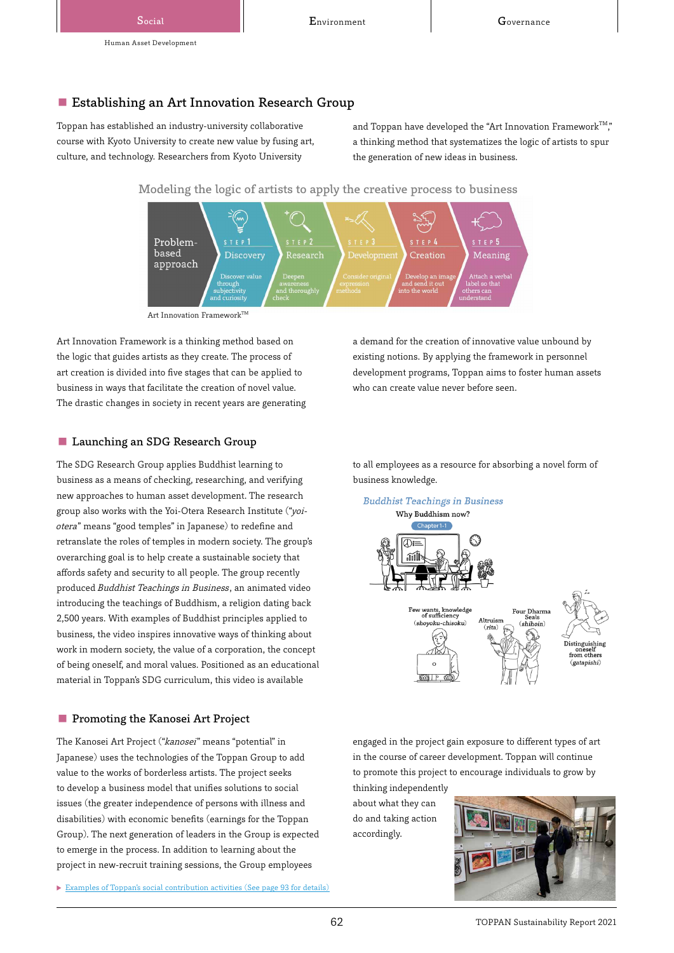# ■ Establishing an Art Innovation Research Group

Toppan has established an industry-university collaborative course with Kyoto University to create new value by fusing art, culture, and technology. Researchers from Kyoto University

and Toppan have developed the "Art Innovation Framework""," a thinking method that systematizes the logic of artists to spur the generation of new ideas in business.

Modeling the logic of artists to apply the creative process to business



Art Innovation Framework $^{TM}$ 

Art Innovation Framework is a thinking method based on the logic that guides artists as they create. The process of art creation is divided into five stages that can be applied to business in ways that facilitate the creation of novel value. The drastic changes in society in recent years are generating

## ■ Launching an SDG Research Group

The SDG Research Group applies Buddhist learning to business as a means of checking, researching, and verifying new approaches to human asset development. The research group also works with the Yoi-Otera Research Institute ("yoiotera" means "good temples" in Japanese) to redefine and retranslate the roles of temples in modern society. The group's overarching goal is to help create a sustainable society that affords safety and security to all people. The group recently produced Buddhist Teachings in Business, an animated video introducing the teachings of Buddhism, a religion dating back 2,500 years. With examples of Buddhist principles applied to business, the video inspires innovative ways of thinking about work in modern society, the value of a corporation, the concept of being oneself, and moral values. Positioned as an educational material in Toppan's SDG curriculum, this video is available

#### ■ Promoting the Kanosei Art Project

The Kanosei Art Project ("kanosei" means "potential" in Japanese) uses the technologies of the Toppan Group to add value to the works of borderless artists. The project seeks to develop a business model that unifies solutions to social issues (the greater independence of persons with illness and disabilities) with economic benefits (earnings for the Toppan Group). The next generation of leaders in the Group is expected to emerge in the process. In addition to learning about the project in new-recruit training sessions, the Group employees

 [Examples of Toppan's social contribution activities \(See page 93 for details\)](https://toppan.com/assets/pdf/sustainability/2021/csr2021_detail-ja.pdf#page=93)

a demand for the creation of innovative value unbound by existing notions. By applying the framework in personnel development programs, Toppan aims to foster human assets who can create value never before seen.

to all employees as a resource for absorbing a novel form of business knowledge.



engaged in the project gain exposure to different types of art in the course of career development. Toppan will continue to promote this project to encourage individuals to grow by thinking independently

about what they can do and taking action accordingly.